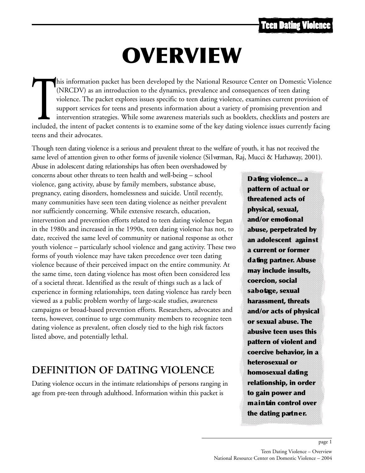# OVERVIEW

This information packet has been developed by the National Resource Center on Domestic Violence (NRCDV) as an introduction to the dynamics, prevalence and consequences of teen dating violence. The packet explores issues sp (NRCDV) as an introduction to the dynamics, prevalence and consequences of teen dating violence. The packet explores issues specific to teen dating violence, examines current provision of support services for teens and presents information about a variety of promising prevention and intervention strategies. While some awareness materials such as booklets, checklists and posters are teens and their advocates.

Though teen dating violence is a serious and prevalent threat to the welfare of youth, it has not received the same level of attention given to other forms of juvenile violence (Silverman, Raj, Mucci & Hathaway, 2001).

Abuse in adolescent dating relationships has often been overshadowed by concerns about other threats to teen health and well-being – school violence, gang activity, abuse by family members, substance abuse, pregnancy, eating disorders, homelessness and suicide. Until recently, many communities have seen teen dating violence as neither prevalent nor sufficiently concerning. While extensive research, education, intervention and prevention efforts related to teen dating violence began in the 1980s and increased in the 1990s, teen dating violence has not, to date, received the same level of community or national response as other youth violence – particularly school violence and gang activity. These two forms of youth violence may have taken precedence over teen dating violence because of their perceived impact on the entire community. At the same time, teen dating violence has most often been considered less of a societal threat. Identified as the result of things such as a lack of experience in forming relationships, teen dating violence has rarely been viewed as a public problem worthy of large-scale studies, awareness campaigns or broad-based prevention efforts. Researchers, advocates and teens, however, continue to urge community members to recognize teen dating violence as prevalent, often closely tied to the high risk factors listed above, and potentially lethal.

## **DEFINITION OF DATING VIOLENCE**

Dating violence occurs in the intimate relationships of persons ranging in age from pre-teen through adulthood. Information within this packet is

Dating violence... a pattern of actual or threatened acts of physical, sexual, and/or emotional abuse, perpetrated by an adolescent against a current or former d a ting partner. Abuse may include insults, coercion, social s a b o tage, sexual harassment, threats and/or acts of physical or sexual abuse. The abusive teen uses this pattern of violent and coercive behavior, in a heterosexual or homosexual dating relationship, in order to gain power and maintan control over the dating partner.

page 1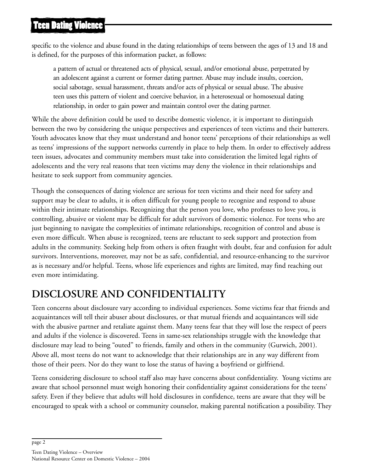## **Teen Dating Violence**

specific to the violence and abuse found in the dating relationships of teens between the ages of 13 and 18 and is defined, for the purposes of this information packet, as follows:

a pattern of actual or threatened acts of physical, sexual, and/or emotional abuse, perpetrated by an adolescent against a current or former dating partner. Abuse may include insults, coercion, social sabotage, sexual harassment, threats and/or acts of physical or sexual abuse. The abusive teen uses this pattern of violent and coercive behavior, in a heterosexual or homosexual dating relationship, in order to gain power and maintain control over the dating partner.

While the above definition could be used to describe domestic violence, it is important to distinguish between the two by considering the unique perspectives and experiences of teen victims and their batterers. Youth advocates know that they must understand and honor teens' perceptions of their relationships as well as teens' impressions of the support networks currently in place to help them. In order to effectively address teen issues, advocates and community members must take into consideration the limited legal rights of adolescents and the very real reasons that teen victims may deny the violence in their relationships and hesitate to seek support from community agencies.

Though the consequences of dating violence are serious for teen victims and their need for safety and support may be clear to adults, it is often difficult for young people to recognize and respond to abuse within their intimate relationships. Recognizing that the person you love, who professes to love you, is controlling, abusive or violent may be difficult for adult survivors of domestic violence. For teens who are just beginning to navigate the complexities of intimate relationships, recognition of control and abuse is even more difficult. When abuse is recognized, teens are reluctant to seek support and protection from adults in the community. Seeking help from others is often fraught with doubt, fear and confusion for adult survivors. Interventions, moreover, may not be as safe, confidential, and resource-enhancing to the survivor as is necessary and/or helpful. Teens, whose life experiences and rights are limited, may find reaching out even more intimidating.

# **DISCLOSURE AND CONFIDENTIALITY**

Teen concerns about disclosure vary according to individual experiences. Some victims fear that friends and acquaintances will tell their abuser about disclosures, or that mutual friends and acquaintances will side with the abusive partner and retaliate against them. Many teens fear that they will lose the respect of peers and adults if the violence is discovered. Teens in same-sex relationships struggle with the knowledge that disclosure may lead to being "outed" to friends, family and others in the community (Gurwich, 2001). Above all, most teens do not want to acknowledge that their relationships are in any way different from those of their peers. Nor do they want to lose the status of having a boyfriend or girlfriend.

Teens considering disclosure to school staff also may have concerns about confidentiality. Young victims are aware that school personnel must weigh honoring their confidentiality against considerations for the teens' safety. Even if they believe that adults will hold disclosures in confidence, teens are aware that they will be encouraged to speak with a school or community counselor, making parental notification a possibility. They

page 2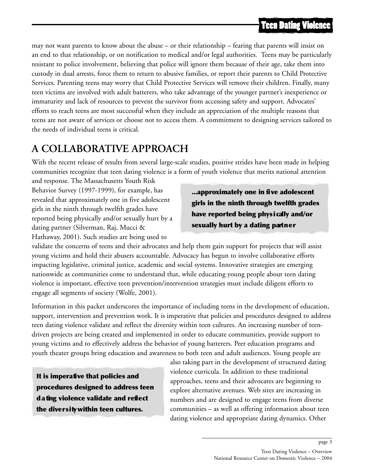may not want parents to know about the abuse – or their relationship – fearing that parents will insist on an end to that relationship, or on notification to medical and/or legal authorities. Teens may be particularly resistant to police involvement, believing that police will ignore them because of their age, take them into custody in dual arrests, force them to return to abusive families, or report their parents to Child Protective Services. Parenting teens may worry that Child Protective Services will remove their children. Finally, many teen victims are involved with adult batterers, who take advantage of the younger partner's inexperience or immaturity and lack of resources to prevent the survivor from accessing safety and support. Advocates' efforts to reach teens are most successful when they include an appreciation of the multiple reasons that teens are not aware of services or choose not to access them. A commitment to designing services tailored to the needs of individual teens is critical.

## **A COLLABORATIVE APPROACH**

With the recent release of results from several large-scale studies, positive strides have been made in helping communities recognize that teen dating violence is a form of youth violence that merits national attention

and response. The Massachusetts Youth Risk Behavior Survey (1997-1999), for example, has revealed that approximately one in five adolescent girls in the ninth through twelfth grades have reported being physically and/or sexually hurt by a dating partner (Silverman, Raj, Mucci & Hathaway, 2001). Such studies are being used to

...approximately one in five adolescent girls in the ninth through twelfth grades have reported being physically and/or sexually hurt by a dating partner

validate the concerns of teens and their advocates and help them gain support for projects that will assist young victims and hold their abusers accountable. Advocacy has begun to involve collaborative efforts impacting legislative, criminal justice, academic and social systems. Innovative strategies are emerging nationwide as communities come to understand that, while educating young people about teen dating violence is important, effective teen prevention/intervention strategies must include diligent efforts to engage all segments of society (Wolfe, 2001).

Information in this packet underscores the importance of including teens in the development of education, support, intervention and prevention work. It is imperative that policies and procedures designed to address teen dating violence validate and reflect the diversity within teen cultures. An increasing number of teendriven projects are being created and implemented in order to educate communities, provide support to young victims and to effectively address the behavior of young batterers. Peer education programs and youth theater groups bring education and awareness to both teen and adult audiences. Young people are

It is imperative that policies and procedures designed to address teen d a ting violence validate and reflect the diversity within teen cultures.

also taking part in the development of structured dating violence curricula. In addition to these traditional approaches, teens and their advocates are beginning to explore alternative avenues. Web sites are increasing in numbers and are designed to engage teens from diverse communities – as well as offering information about teen dating violence and appropriate dating dynamics. Other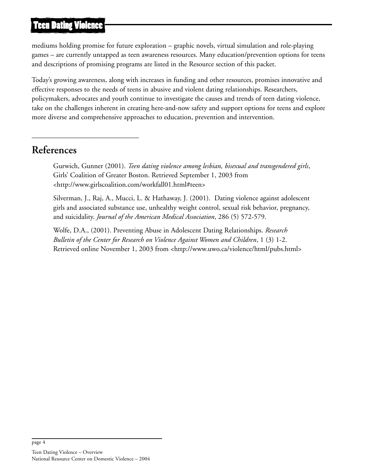#### **Teen Dating Violence**

mediums holding promise for future exploration – graphic novels, virtual simulation and role-playing games – are currently untapped as teen awareness resources. Many education/prevention options for teens and descriptions of promising programs are listed in the Resource section of this packet.

Today's growing awareness, along with increases in funding and other resources, promises innovative and effective responses to the needs of teens in abusive and violent dating relationships. Researchers, policymakers, advocates and youth continue to investigate the causes and trends of teen dating violence, take on the challenges inherent in creating here-and-now safety and support options for teens and explore more diverse and comprehensive approaches to education, prevention and intervention.

#### **References**

\_\_\_\_\_\_\_\_\_\_\_\_\_\_\_\_\_\_\_\_\_\_\_\_\_\_\_\_\_\_

Gurwich, Gunner (2001). *Teen dating violence among lesbian, bisexual and transgendered girls*, Girls' Coalition of Greater Boston. Retrieved September 1, 2003 from <http://www.girlscoalition.com/workfall01.html#teen>

Silverman, J., Raj, A., Mucci, L. & Hathaway, J. (2001). Dating violence against adolescent girls and associated substance use, unhealthy weight control, sexual risk behavior, pregnancy, and suicidality. *Journal of the American Medical Association*, 286 (5) 572-579.

Wolfe, D.A., (2001). Preventing Abuse in Adolescent Dating Relationships. *Research Bulletin of the Center for Research on Violence Against Women and Children*, 1 (3) 1-2. Retrieved online November 1, 2003 from <http://www.uwo.ca/violence/html/pubs.html>

page 4